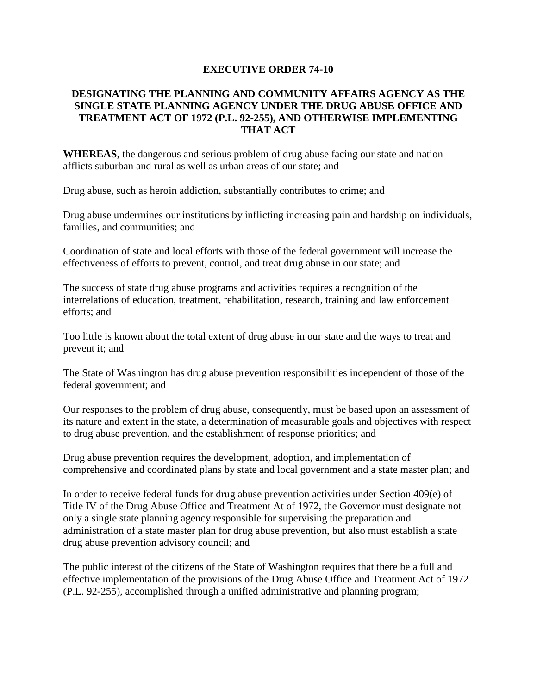## **EXECUTIVE ORDER 74-10**

## **DESIGNATING THE PLANNING AND COMMUNITY AFFAIRS AGENCY AS THE SINGLE STATE PLANNING AGENCY UNDER THE DRUG ABUSE OFFICE AND TREATMENT ACT OF 1972 (P.L. 92-255), AND OTHERWISE IMPLEMENTING THAT ACT**

**WHEREAS**, the dangerous and serious problem of drug abuse facing our state and nation afflicts suburban and rural as well as urban areas of our state; and

Drug abuse, such as heroin addiction, substantially contributes to crime; and

Drug abuse undermines our institutions by inflicting increasing pain and hardship on individuals, families, and communities; and

Coordination of state and local efforts with those of the federal government will increase the effectiveness of efforts to prevent, control, and treat drug abuse in our state; and

The success of state drug abuse programs and activities requires a recognition of the interrelations of education, treatment, rehabilitation, research, training and law enforcement efforts; and

Too little is known about the total extent of drug abuse in our state and the ways to treat and prevent it; and

The State of Washington has drug abuse prevention responsibilities independent of those of the federal government; and

Our responses to the problem of drug abuse, consequently, must be based upon an assessment of its nature and extent in the state, a determination of measurable goals and objectives with respect to drug abuse prevention, and the establishment of response priorities; and

Drug abuse prevention requires the development, adoption, and implementation of comprehensive and coordinated plans by state and local government and a state master plan; and

In order to receive federal funds for drug abuse prevention activities under Section 409(e) of Title IV of the Drug Abuse Office and Treatment At of 1972, the Governor must designate not only a single state planning agency responsible for supervising the preparation and administration of a state master plan for drug abuse prevention, but also must establish a state drug abuse prevention advisory council; and

The public interest of the citizens of the State of Washington requires that there be a full and effective implementation of the provisions of the Drug Abuse Office and Treatment Act of 1972 (P.L. 92-255), accomplished through a unified administrative and planning program;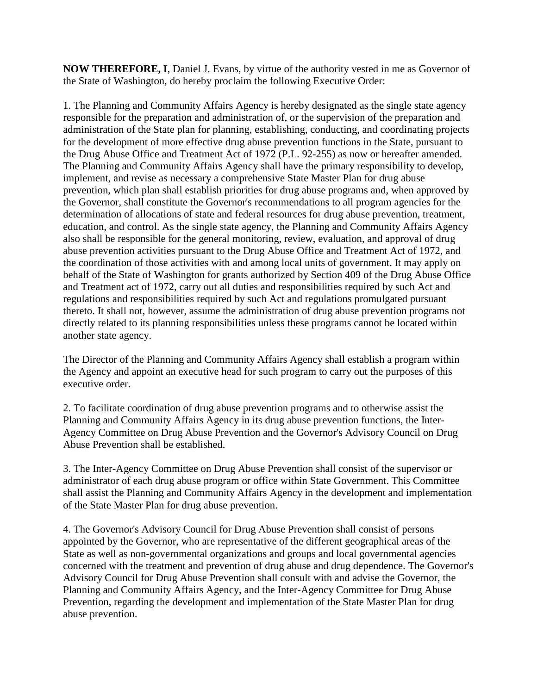**NOW THEREFORE, I**, Daniel J. Evans, by virtue of the authority vested in me as Governor of the State of Washington, do hereby proclaim the following Executive Order:

1. The Planning and Community Affairs Agency is hereby designated as the single state agency responsible for the preparation and administration of, or the supervision of the preparation and administration of the State plan for planning, establishing, conducting, and coordinating projects for the development of more effective drug abuse prevention functions in the State, pursuant to the Drug Abuse Office and Treatment Act of 1972 (P.L. 92-255) as now or hereafter amended. The Planning and Community Affairs Agency shall have the primary responsibility to develop, implement, and revise as necessary a comprehensive State Master Plan for drug abuse prevention, which plan shall establish priorities for drug abuse programs and, when approved by the Governor, shall constitute the Governor's recommendations to all program agencies for the determination of allocations of state and federal resources for drug abuse prevention, treatment, education, and control. As the single state agency, the Planning and Community Affairs Agency also shall be responsible for the general monitoring, review, evaluation, and approval of drug abuse prevention activities pursuant to the Drug Abuse Office and Treatment Act of 1972, and the coordination of those activities with and among local units of government. It may apply on behalf of the State of Washington for grants authorized by Section 409 of the Drug Abuse Office and Treatment act of 1972, carry out all duties and responsibilities required by such Act and regulations and responsibilities required by such Act and regulations promulgated pursuant thereto. It shall not, however, assume the administration of drug abuse prevention programs not directly related to its planning responsibilities unless these programs cannot be located within another state agency.

The Director of the Planning and Community Affairs Agency shall establish a program within the Agency and appoint an executive head for such program to carry out the purposes of this executive order.

2. To facilitate coordination of drug abuse prevention programs and to otherwise assist the Planning and Community Affairs Agency in its drug abuse prevention functions, the Inter-Agency Committee on Drug Abuse Prevention and the Governor's Advisory Council on Drug Abuse Prevention shall be established.

3. The Inter-Agency Committee on Drug Abuse Prevention shall consist of the supervisor or administrator of each drug abuse program or office within State Government. This Committee shall assist the Planning and Community Affairs Agency in the development and implementation of the State Master Plan for drug abuse prevention.

4. The Governor's Advisory Council for Drug Abuse Prevention shall consist of persons appointed by the Governor, who are representative of the different geographical areas of the State as well as non-governmental organizations and groups and local governmental agencies concerned with the treatment and prevention of drug abuse and drug dependence. The Governor's Advisory Council for Drug Abuse Prevention shall consult with and advise the Governor, the Planning and Community Affairs Agency, and the Inter-Agency Committee for Drug Abuse Prevention, regarding the development and implementation of the State Master Plan for drug abuse prevention.